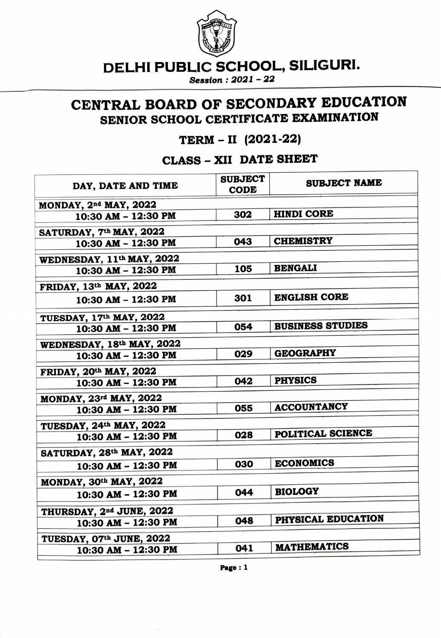

DELHI PUBLIC SCHOOL, SILIGURI.

Session: 2021 - 22

## CENTRAL BOARD OF SECONDARY EDUCATION SENIOR SCHOOL CERTIFICATE EXAMINATION

## TERM - II (2021-22)

CLASS- XII DATE SHEET

| <b>SUBJECT</b><br><b>CODE</b>        | <b>SUBJECT NAME</b>     |  |  |
|--------------------------------------|-------------------------|--|--|
| MONDAY, 2 <sup>nd</sup> MAY, 2022    |                         |  |  |
| 302                                  | <b>HINDI CORE</b>       |  |  |
| SATURDAY, 7th MAY, 2022              |                         |  |  |
| 043                                  | <b>CHEMISTRY</b>        |  |  |
| WEDNESDAY, 11th MAY, 2022            |                         |  |  |
| 105                                  | <b>BENGALI</b>          |  |  |
| FRIDAY, 13th MAY, 2022               |                         |  |  |
| 301                                  | <b>ENGLISH CORE</b>     |  |  |
| TUESDAY, 17th MAY, 2022              |                         |  |  |
| 054                                  | <b>BUSINESS STUDIES</b> |  |  |
| WEDNESDAY, 18th MAY, 2022            |                         |  |  |
| 029                                  | <b>GEOGRAPHY</b>        |  |  |
| FRIDAY, 20th MAY, 2022               |                         |  |  |
| 042                                  | <b>PHYSICS</b>          |  |  |
| MONDAY, 23rd MAY, 2022               |                         |  |  |
| 055                                  | <b>ACCOUNTANCY</b>      |  |  |
| TUESDAY, 24th MAY, 2022              |                         |  |  |
| 028                                  | POLITICAL SCIENCE       |  |  |
| SATURDAY, 28th MAY, 2022             |                         |  |  |
| 030                                  | <b>ECONOMICS</b>        |  |  |
| MONDAY, 30th MAY, 2022               |                         |  |  |
| 044                                  | <b>BIOLOGY</b>          |  |  |
| THURSDAY, 2 <sup>nd</sup> JUNE, 2022 |                         |  |  |
| 048                                  | PHYSICAL EDUCATION      |  |  |
| TUESDAY, 07th JUNE, 2022             |                         |  |  |
| 041                                  | <b>MATHEMATICS</b>      |  |  |
|                                      |                         |  |  |